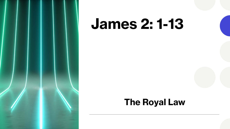

# **James 2: 1-13**

### **The Royal Law**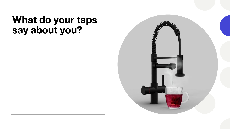### **What do your taps say about you?**

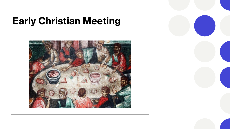## **Early Christian Meeting**



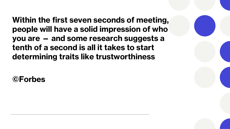**Within the first seven seconds of meeting, people will have a solid impression of who you are — and some research suggests a tenth of a second is all it takes to start determining traits like trustworthiness**

**©Forbes**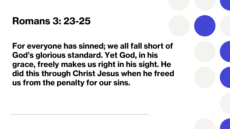### **Romans 3: 23-25**

**For everyone has sinned; we all fall short of God's glorious standard. Yet God, in his grace, freely makes us right in his sight. He did this through Christ Jesus when he freed us from the penalty for our sins.**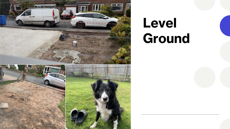

# **Level Ground**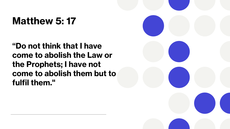## **Matthew 5: 17**

**"Do not think that I have come to abolish the Law or the Prophets; I have not come to abolish them but to fulfil them."**

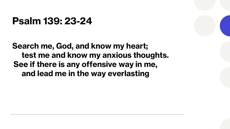### **Psalm 139: 23-24**

**Search me, God, and know my heart; test me and know my anxious thoughts. See if there is any offensive way in me, and lead me in the way everlasting**